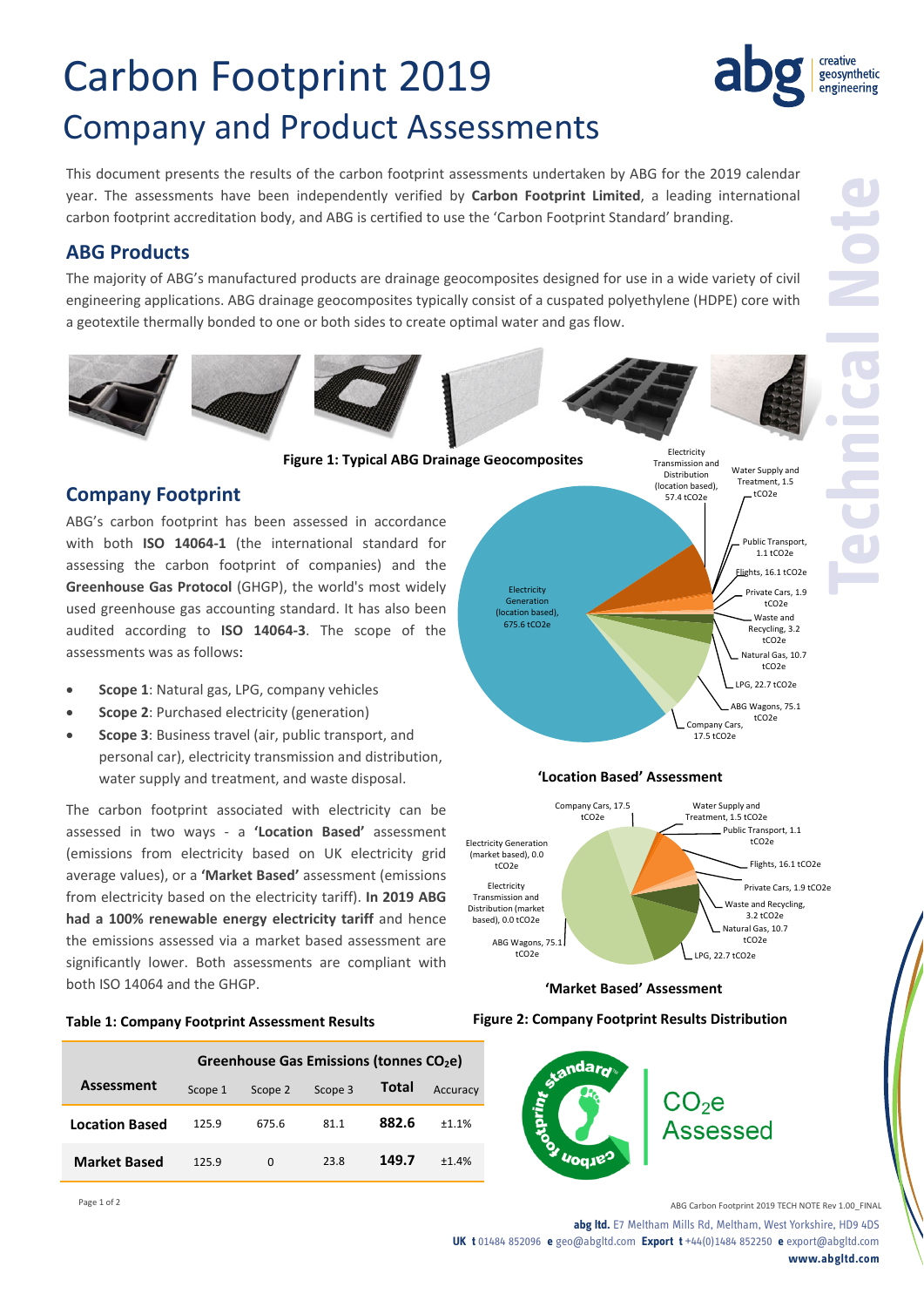# Carbon Footprint 2019 Company and Product Assessments

This document presents the results of the carbon footprint assessments undertaken by ABG for the 2019 calendar year. The assessments have been independently verified by **Carbon Footprint Limited**, a leading international carbon footprint accreditation body, and ABG is certified to use the 'Carbon Footprint Standard' branding.

## **ABG Products**

The majority of ABG's manufactured products are drainage geocomposites designed for use in a wide variety of civil engineering applications. ABG drainage geocomposites typically consist of a cuspated polyethylene (HDPE) core with a geotextile thermally bonded to one or both sides to create optimal water and gas flow.









**Figure 1: Typical ABG Drainage Geocomposites**

### **Company Footprint**

ABG's carbon footprint has been assessed in accordance with both **ISO 14064‐1** (the international standard for assessing the carbon footprint of companies) and the **Greenhouse Gas Protocol** (GHGP), the world's most widely used greenhouse gas accounting standard. It has also been audited according to **ISO 14064‐3**. The scope of the assessments was as follows:

- **Scope 1**: Natural gas, LPG, company vehicles
- **Scope 2**: Purchased electricity (generation)
- **Scope 3**: Business travel (air, public transport, and personal car), electricity transmission and distribution, water supply and treatment, and waste disposal.

The carbon footprint associated with electricity can be assessed in two ways ‐ a **'Location Based'** assessment (emissions from electricity based on UK electricity grid average values), or a **'Market Based'** assessment (emissions from electricity based on the electricity tariff). **In 2019 ABG had a 100% renewable energy electricity tariff** and hence the emissions assessed via a market based assessment are significantly lower. Both assessments are compliant with both ISO 14064 and the GHGP.

#### **Table 1: Company Footprint Assessment Results**

|                       | Greenhouse Gas Emissions (tonnes CO <sub>2</sub> e) |          |         |              |          |
|-----------------------|-----------------------------------------------------|----------|---------|--------------|----------|
| <b>Assessment</b>     | Scope 1                                             | Scope 2  | Scope 3 | <b>Total</b> | Accuracy |
| <b>Location Based</b> | 125.9                                               | 675.6    | 81.1    | 882.6        | ±1.1%    |
| <b>Market Based</b>   | 125.9                                               | $\Omega$ | 23.8    | 149.7        | ±1.4%    |





**'Location Based' Assessment**

#### **'Market Based' Assessment**

#### **Figure 2: Company Footprint Results Distribution**



creative geosynthetic engineering

Page 1 of 2 ABG Carbon Footprint 2019 TECH NOTE Rev 1.00\_FINAL **abg ltd.** E7 Meltham Mills Rd, Meltham, West Yorkshire, HD9 4DS **UK t** 01484 852096 **e** geo@abgltd.com **Export t** +44(0)1484 852250 **e** export@abgltd.com **www.abgltd.com**